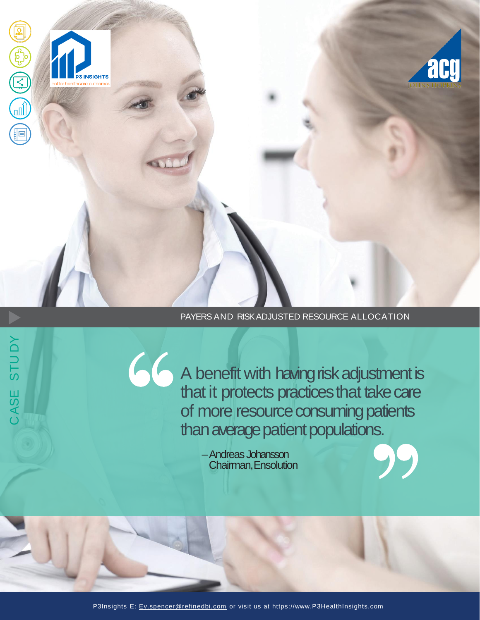

## PAYERS AND RISK ADJUSTED RESOURCE ALLOCATION

A benefit with having risk adjustment is that it protects practices that take care of more resource consuming patients than average patient populations.

–Andreas Johansson Chairman,Ensolution

66